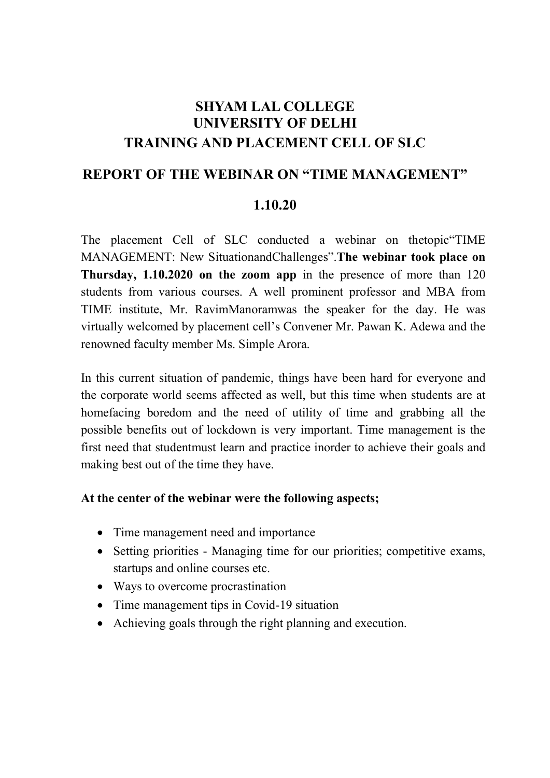## SHYAM LAL COLLEGE UNIVERSITY OF DELHI TRAINING AND PLACEMENT CELL OF SLC

## REPORT OF THE WEBINAR ON "TIME MANAGEMENT"

## 1.10.20

The placement Cell of SLC conducted a webinar on thetopic"TIME MANAGEMENT: New SituationandChallenges".The webinar took place on Thursday, 1.10.2020 on the zoom app in the presence of more than 120 students from various courses. A well prominent professor and MBA from TIME institute, Mr. RavimManoramwas the speaker for the day. He was virtually welcomed by placement cell's Convener Mr. Pawan K. Adewa and the renowned faculty member Ms. Simple Arora.

In this current situation of pandemic, things have been hard for everyone and the corporate world seems affected as well, but this time when students are at homefacing boredom and the need of utility of time and grabbing all the possible benefits out of lockdown is very important. Time management is the first need that studentmust learn and practice inorder to achieve their goals and making best out of the time they have.

## At the center of the webinar were the following aspects;

- Time management need and importance
- Setting priorities Managing time for our priorities; competitive exams, startups and online courses etc.
- Ways to overcome procrastination
- Time management tips in Covid-19 situation
- Achieving goals through the right planning and execution.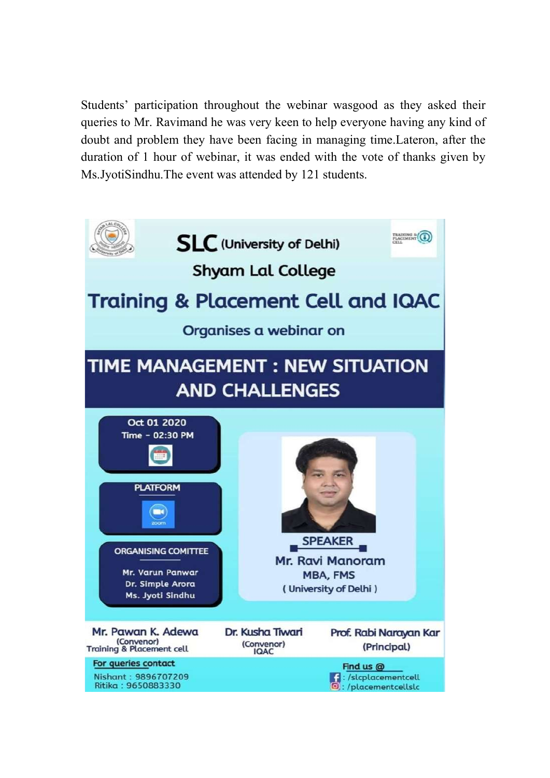Students' participation throughout the webinar wasgood as they asked their queries to Mr. Ravimand he was very keen to help everyone having any kind of doubt and problem they have been facing in managing time.Lateron, after the duration of 1 hour of webinar, it was ended with the vote of thanks given by Ms.JyotiSindhu.The event was attended by 121 students.